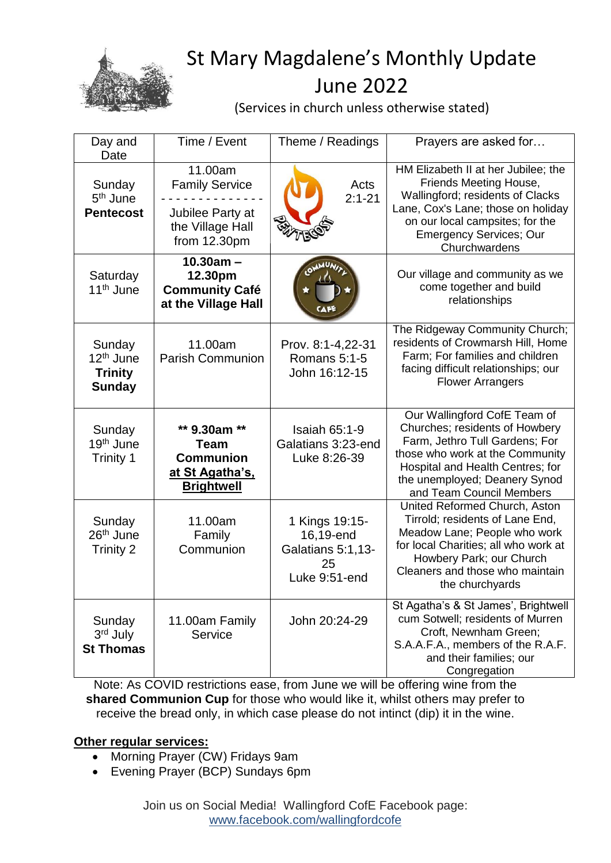

## St Mary Magdalene's Monthly Update June 2022

(Services in church unless otherwise stated)

| Day and<br>Date                                                    | Time / Event                                                                                   | Theme / Readings                                                        | Prayers are asked for                                                                                                                                                                                                                |  |
|--------------------------------------------------------------------|------------------------------------------------------------------------------------------------|-------------------------------------------------------------------------|--------------------------------------------------------------------------------------------------------------------------------------------------------------------------------------------------------------------------------------|--|
| Sunday<br>5 <sup>th</sup> June<br><b>Pentecost</b>                 | 11.00am<br><b>Family Service</b><br>Jubilee Party at<br>the Village Hall<br>from 12.30pm       | Acts<br>$2:1 - 21$                                                      | HM Elizabeth II at her Jubilee; the<br>Friends Meeting House,<br>Wallingford; residents of Clacks<br>Lane, Cox's Lane; those on holiday<br>on our local campsites; for the<br><b>Emergency Services; Our</b><br>Churchwardens        |  |
| Saturday<br>11 <sup>th</sup> June                                  | $10.30am -$<br>12.30pm<br><b>Community Café</b><br>at the Village Hall                         |                                                                         | Our village and community as we<br>come together and build<br>relationships                                                                                                                                                          |  |
| Sunday<br>12 <sup>th</sup> June<br><b>Trinity</b><br><b>Sunday</b> | 11.00am<br><b>Parish Communion</b>                                                             | Prov. 8:1-4,22-31<br>Romans 5:1-5<br>John 16:12-15                      | The Ridgeway Community Church;<br>residents of Crowmarsh Hill, Home<br>Farm; For families and children<br>facing difficult relationships; our<br><b>Flower Arrangers</b>                                                             |  |
| Sunday<br>19 <sup>th</sup> June<br>Trinity 1                       | ** 9.30am **<br><b>Team</b><br><b>Communion</b><br><u>at St Agatha's,</u><br><b>Brightwell</b> | <b>Isaiah 65:1-9</b><br>Galatians 3:23-end<br>Luke 8:26-39              | Our Wallingford CofE Team of<br>Churches; residents of Howbery<br>Farm, Jethro Tull Gardens; For<br>those who work at the Community<br>Hospital and Health Centres; for<br>the unemployed; Deanery Synod<br>and Team Council Members |  |
| Sunday<br>26 <sup>th</sup> June<br><b>Trinity 2</b>                | 11.00am<br>Family<br>Communion                                                                 | 1 Kings 19:15-<br>16,19-end<br>Galatians 5:1,13-<br>25<br>Luke 9:51-end | United Reformed Church, Aston<br>Tirrold; residents of Lane End,<br>Meadow Lane; People who work<br>for local Charities; all who work at<br>Howbery Park; our Church<br>Cleaners and those who maintain<br>the churchyards           |  |
| Sunday<br>3rd July<br><b>St Thomas</b>                             | 11.00am Family<br>Service                                                                      | John 20:24-29                                                           | St Agatha's & St James', Brightwell<br>cum Sotwell; residents of Murren<br>Croft, Newnham Green;<br>S.A.A.F.A., members of the R.A.F.<br>and their families; our<br>Congregation                                                     |  |

Note: As COVID restrictions ease, from June we will be offering wine from the **shared Communion Cup** for those who would like it, whilst others may prefer to receive the bread only, in which case please do not intinct (dip) it in the wine.

## **Other regular services:**

- Morning Prayer (CW) Fridays 9am
- Evening Prayer (BCP) Sundays 6pm